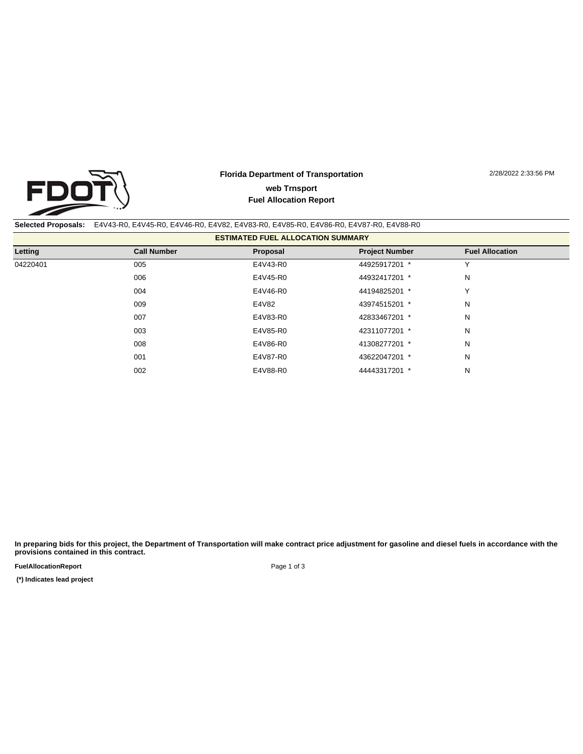

## **Florida Department of Transportation Fuel Allocation Report web Trnsport**

2/28/2022 2:33:56 PM

## **Selected Proposals:** E4V43-R0, E4V45-R0, E4V46-R0, E4V82, E4V83-R0, E4V85-R0, E4V86-R0, E4V87-R0, E4V88-R0

| <b>ESTIMATED FUEL ALLOCATION SUMMARY</b> |                    |          |                       |                        |
|------------------------------------------|--------------------|----------|-----------------------|------------------------|
| Letting                                  | <b>Call Number</b> | Proposal | <b>Project Number</b> | <b>Fuel Allocation</b> |
| 04220401                                 | 005                | E4V43-R0 | 44925917201 *         | ν                      |
|                                          | 006                | E4V45-R0 | 44932417201 *         | N                      |
|                                          | 004                | E4V46-R0 | 44194825201 *         | v                      |
|                                          | 009                | E4V82    | 43974515201 *         | N                      |
|                                          | 007                | E4V83-R0 | 42833467201 *         | N                      |
|                                          | 003                | E4V85-R0 | 42311077201 *         | N                      |
|                                          | 008                | E4V86-R0 | 41308277201 *         | N                      |
|                                          | 001                | E4V87-R0 | 43622047201 *         | N                      |
|                                          | 002                | E4V88-R0 | 44443317201 *         | N                      |
|                                          |                    |          |                       |                        |

**In preparing bids for this project, the Department of Transportation will make contract price adjustment for gasoline and diesel fuels in accordance with the provisions contained in this contract.**

**FuelAllocationReport** 

 **(\*) Indicates lead project** 

Page 1 of 3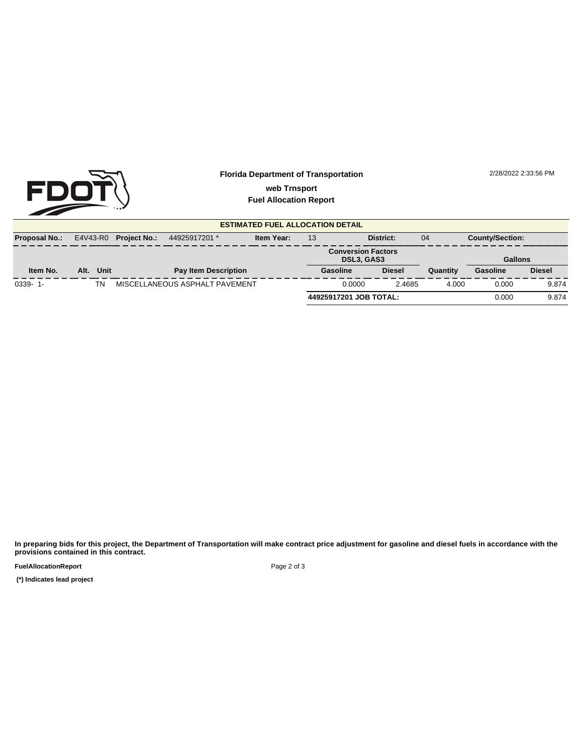

## **Florida Department of Transportation Fuel Allocation Report web Trnsport**

2/28/2022 2:33:56 PM

**ESTIMATED FUEL ALLOCATION DETAIL Proposal No.:** E4V43-R0 **Project No.:** 44925917201 \* **Item Year:** 13 **District:** 04 **County/Section: Conversion Factors DSL3, GAS3 Gallons Item No. Alt. Unit Pay Item Description Gasoline Diesel Quantity Gasoline Diesel** 0339- 1- TN MISCELLANEOUS ASPHALT PAVEMENT 0.0000 2.4685 4.000 0.000 9.874 **44925917201 JOB TOTAL:** 0.000 9.874

**In preparing bids for this project, the Department of Transportation will make contract price adjustment for gasoline and diesel fuels in accordance with the provisions contained in this contract.**

**FuelAllocationReport** 

 **(\*) Indicates lead project** 

Page 2 of 3